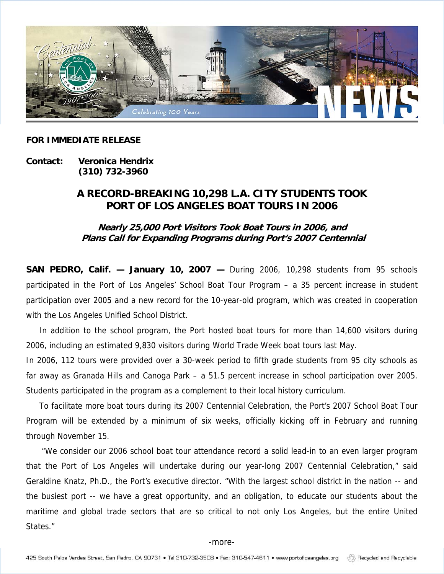

## **FOR IMMEDIATE RELEASE**

**Contact: Veronica Hendrix (310) 732-3960** 

## **A RECORD-BREAKING 10,298 L.A. CITY STUDENTS TOOK PORT OF LOS ANGELES BOAT TOURS IN 2006**

**Nearly 25,000 Port Visitors Took Boat Tours in 2006, and Plans Call for Expanding Programs during Port's 2007 Centennial** 

**SAN PEDRO, Calif. — January 10, 2007 —** During 2006, 10,298 students from 95 schools participated in the Port of Los Angeles' School Boat Tour Program – a 35 percent increase in student participation over 2005 and a new record for the 10-year-old program, which was created in cooperation with the Los Angeles Unified School District.

In addition to the school program, the Port hosted boat tours for more than 14,600 visitors during 2006, including an estimated 9,830 visitors during World Trade Week boat tours last May.

In 2006, 112 tours were provided over a 30-week period to fifth grade students from 95 city schools as far away as Granada Hills and Canoga Park – a 51.5 percent increase in school participation over 2005. Students participated in the program as a complement to their local history curriculum.

To facilitate more boat tours during its 2007 Centennial Celebration, the Port's 2007 School Boat Tour Program will be extended by a minimum of six weeks, officially kicking off in February and running through November 15.

 "We consider our 2006 school boat tour attendance record a solid lead-in to an even larger program that the Port of Los Angeles will undertake during our year-long 2007 Centennial Celebration," said Geraldine Knatz, Ph.D., the Port's executive director. "With the largest school district in the nation -- and the busiest port -- we have a great opportunity, and an obligation, to educate our students about the maritime and global trade sectors that are so critical to not only Los Angeles, but the entire United States."